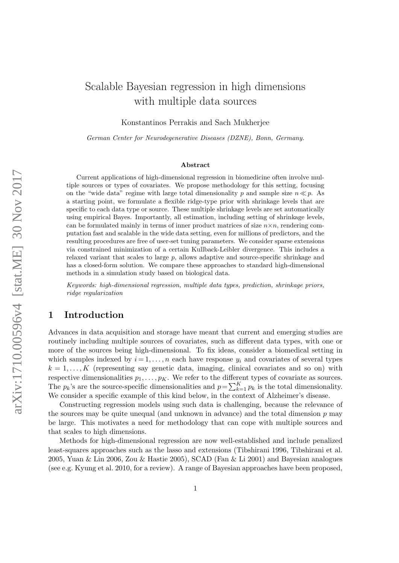# Scalable Bayesian regression in high dimensions with multiple data sources

Konstantinos Perrakis and Sach Mukherjee

German Center for Neurodegenerative Diseases (DZNE), Bonn, Germany.

#### Abstract

Current applications of high-dimensional regression in biomedicine often involve multiple sources or types of covariates. We propose methodology for this setting, focusing on the "wide data" regime with large total dimensionality p and sample size  $n \ll p$ . As a starting point, we formulate a flexible ridge-type prior with shrinkage levels that are specific to each data type or source. These multiple shrinkage levels are set automatically using empirical Bayes. Importantly, all estimation, including setting of shrinkage levels, can be formulated mainly in terms of inner product matrices of size  $n \times n$ , rendering computation fast and scalable in the wide data setting, even for millions of predictors, and the resulting procedures are free of user-set tuning parameters. We consider sparse extensions via constrained minimization of a certain Kullback-Leibler divergence. This includes a relaxed variant that scales to large p, allows adaptive and source-specific shrinkage and has a closed-form solution. We compare these approaches to standard high-dimensional methods in a simulation study based on biological data.

Keywords: high-dimensional regression, multiple data types, prediction, shrinkage priors, ridge regularization

# 1 Introduction

Advances in data acquisition and storage have meant that current and emerging studies are routinely including multiple sources of covariates, such as different data types, with one or more of the sources being high-dimensional. To fix ideas, consider a biomedical setting in which samples indexed by  $i = 1, \ldots, n$  each have response  $y_i$  and covariates of several types  $k = 1, \ldots, K$  (representing say genetic data, imaging, clinical covariates and so on) with respective dimensionalities  $p_1, \ldots, p_K$ . We refer to the different types of covariate as sources. The  $p_k$ 's are the source-specific dimensionalities and  $p = \sum_{k=1}^{K} p_k$  is the total dimensionality. We consider a specific example of this kind below, in the context of Alzheimer's disease.

Constructing regression models using such data is challenging, because the relevance of the sources may be quite unequal (and unknown in advance) and the total dimension  $p$  may be large. This motivates a need for methodology that can cope with multiple sources and that scales to high dimensions.

Methods for high-dimensional regression are now well-established and include penalized least-squares approaches such as the lasso and extensions (Tibshirani 1996, Tibshirani et al. 2005, Yuan & Lin 2006, Zou & Hastie 2005), SCAD (Fan & Li 2001) and Bayesian analogues (see e.g. Kyung et al. 2010, for a review). A range of Bayesian approaches have been proposed,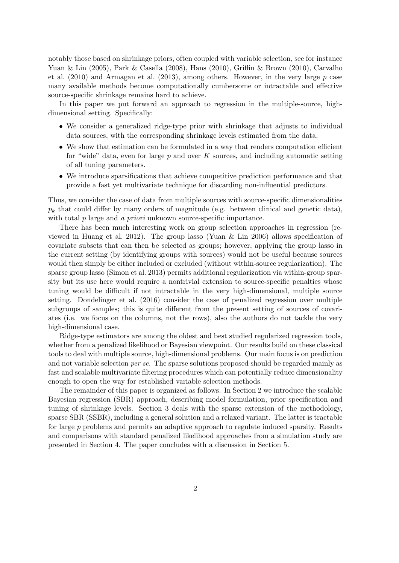notably those based on shrinkage priors, often coupled with variable selection, see for instance Yuan & Lin (2005), Park & Casella (2008), Hans (2010), Griffin & Brown (2010), Carvalho et al.  $(2010)$  and Armagan et al.  $(2013)$ , among others. However, in the very large p case many available methods become computationally cumbersome or intractable and effective source-specific shrinkage remains hard to achieve.

In this paper we put forward an approach to regression in the multiple-source, highdimensional setting. Specifically:

- We consider a generalized ridge-type prior with shrinkage that adjusts to individual data sources, with the corresponding shrinkage levels estimated from the data.
- We show that estimation can be formulated in a way that renders computation efficient for "wide" data, even for large  $p$  and over K sources, and including automatic setting of all tuning parameters.
- We introduce sparsifications that achieve competitive prediction performance and that provide a fast yet multivariate technique for discarding non-influential predictors.

Thus, we consider the case of data from multiple sources with source-specific dimensionalities  $p_k$  that could differ by many orders of magnitude (e.g. between clinical and genetic data), with total  $p$  large and  $a$  priori unknown source-specific importance.

There has been much interesting work on group selection approaches in regression (reviewed in Huang et al. 2012). The group lasso (Yuan & Lin 2006) allows specification of covariate subsets that can then be selected as groups; however, applying the group lasso in the current setting (by identifying groups with sources) would not be useful because sources would then simply be either included or excluded (without within-source regularization). The sparse group lasso (Simon et al. 2013) permits additional regularization via within-group sparsity but its use here would require a nontrivial extension to source-specific penalties whose tuning would be difficult if not intractable in the very high-dimensional, multiple source setting. Dondelinger et al. (2016) consider the case of penalized regression over multiple subgroups of samples; this is quite different from the present setting of sources of covariates (i.e. we focus on the columns, not the rows), also the authors do not tackle the very high-dimensional case.

Ridge-type estimators are among the oldest and best studied regularized regression tools, whether from a penalized likelihood or Bayesian viewpoint. Our results build on these classical tools to deal with multiple source, high-dimensional problems. Our main focus is on prediction and not variable selection per se. The sparse solutions proposed should be regarded mainly as fast and scalable multivariate filtering procedures which can potentially reduce dimensionality enough to open the way for established variable selection methods.

The remainder of this paper is organized as follows. In Section 2 we introduce the scalable Bayesian regression (SBR) approach, describing model formulation, prior specification and tuning of shrinkage levels. Section 3 deals with the sparse extension of the methodology, sparse SBR (SSBR), including a general solution and a relaxed variant. The latter is tractable for large p problems and permits an adaptive approach to regulate induced sparsity. Results and comparisons with standard penalized likelihood approaches from a simulation study are presented in Section 4. The paper concludes with a discussion in Section 5.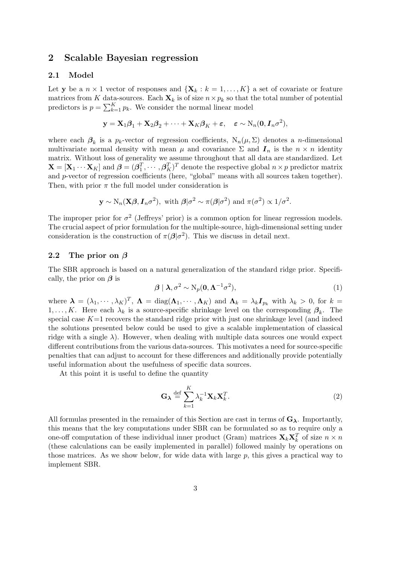### 2 Scalable Bayesian regression

### 2.1 Model

Let y be a  $n \times 1$  vector of responses and  $\{X_k : k = 1, ..., K\}$  a set of covariate or feature matrices from K data-sources. Each  $\mathbf{X}_k$  is of size  $n \times p_k$  so that the total number of potential predictors is  $p = \sum_{k=1}^{K} p_k$ . We consider the normal linear model

$$
\mathbf{y} = \mathbf{X}_1 \boldsymbol{\beta}_1 + \mathbf{X}_2 \boldsymbol{\beta}_2 + \cdots + \mathbf{X}_K \boldsymbol{\beta}_K + \boldsymbol{\varepsilon}, \quad \boldsymbol{\varepsilon} \sim \mathrm{N}_n(\mathbf{0}, \mathbf{I}_n \sigma^2),
$$

where each  $\beta_k$  is a  $p_k$ -vector of regression coefficients,  $N_n(\mu, \Sigma)$  denotes a *n*-dimensional multivariate normal density with mean  $\mu$  and covariance  $\Sigma$  and  $I_n$  is the  $n \times n$  identity matrix. Without loss of generality we assume throughout that all data are standardized. Let  $\mathbf{X} = [\mathbf{X}_1 \cdots \mathbf{X}_K]$  and  $\boldsymbol{\beta} = (\boldsymbol{\beta}_1^T, \cdots, \boldsymbol{\beta}_K^T)^T$  denote the respective global  $n \times p$  predictor matrix and p-vector of regression coefficients (here, "global" means with all sources taken together). Then, with prior  $\pi$  the full model under consideration is

$$
\mathbf{y} \sim N_n(\mathbf{X}\boldsymbol{\beta}, \mathbf{I}_n \sigma^2)
$$
, with  $\boldsymbol{\beta} | \sigma^2 \sim \pi(\boldsymbol{\beta} | \sigma^2)$  and  $\pi(\sigma^2) \propto 1/\sigma^2$ .

The improper prior for  $\sigma^2$  (Jeffreys' prior) is a common option for linear regression models. The crucial aspect of prior formulation for the multiple-source, high-dimensional setting under consideration is the construction of  $\pi(\beta|\sigma^2)$ . This we discuss in detail next.

### 2.2 The prior on  $\beta$

The SBR approach is based on a natural generalization of the standard ridge prior. Specifically, the prior on  $\beta$  is

$$
\beta \mid \lambda, \sigma^2 \sim N_p(\mathbf{0}, \mathbf{\Lambda}^{-1} \sigma^2), \tag{1}
$$

where  $\boldsymbol{\lambda} = (\lambda_1, \dots, \lambda_K)^T$ ,  $\boldsymbol{\Lambda} = \text{diag}(\boldsymbol{\Lambda}_1, \dots, \boldsymbol{\Lambda}_K)$  and  $\boldsymbol{\Lambda}_k = \lambda_k \boldsymbol{I}_{p_k}$  with  $\lambda_k > 0$ , for  $k =$ 1,..., K. Here each  $\lambda_k$  is a source-specific shrinkage level on the corresponding  $\beta_k$ . The special case  $K=1$  recovers the standard ridge prior with just one shrinkage level (and indeed the solutions presented below could be used to give a scalable implementation of classical ridge with a single  $\lambda$ ). However, when dealing with multiple data sources one would expect different contributions from the various data-sources. This motivates a need for source-specific penalties that can adjust to account for these differences and additionally provide potentially useful information about the usefulness of specific data sources.

At this point it is useful to define the quantity

$$
\mathbf{G}_{\lambda} \stackrel{\text{def}}{=} \sum_{k=1}^{K} \lambda_k^{-1} \mathbf{X}_k \mathbf{X}_k^T.
$$
 (2)

All formulas presented in the remainder of this Section are cast in terms of  $G_{\lambda}$ . Importantly, this means that the key computations under SBR can be formulated so as to require only a one-off computation of these individual inner product (Gram) matrices  $\mathbf{X}_k \mathbf{X}_k^T$  of size  $n \times n$ (these calculations can be easily implemented in parallel) followed mainly by operations on those matrices. As we show below, for wide data with large p, this gives a practical way to implement SBR.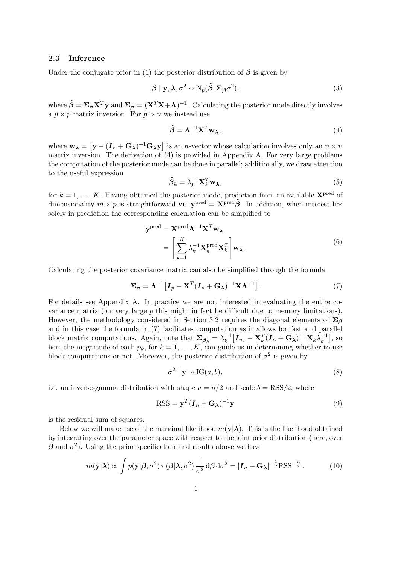### 2.3 Inference

Under the conjugate prior in (1) the posterior distribution of  $\beta$  is given by

$$
\boldsymbol{\beta} \mid \mathbf{y}, \boldsymbol{\lambda}, \sigma^2 \sim \mathrm{N}_p(\widehat{\boldsymbol{\beta}}, \boldsymbol{\Sigma}_{\boldsymbol{\beta}} \sigma^2), \tag{3}
$$

where  $\hat{\beta} = \Sigma_{\beta} \mathbf{X}^T \mathbf{y}$  and  $\Sigma_{\beta} = (\mathbf{X}^T \mathbf{X} + \mathbf{\Lambda})^{-1}$ . Calculating the posterior mode directly involves a  $p \times p$  matrix inversion. For  $p > n$  we instead use

$$
\widehat{\boldsymbol{\beta}} = \boldsymbol{\Lambda}^{-1} \mathbf{X}^T \mathbf{w}_{\boldsymbol{\lambda}},\tag{4}
$$

where  $w_{\lambda} = [y - (I_n + G_{\lambda})^{-1}G_{\lambda}y]$  is an *n*-vector whose calculation involves only an  $n \times n$ matrix inversion. The derivation of (4) is provided in Appendix A. For very large problems the computation of the posterior mode can be done in parallel; additionally, we draw attention to the useful expression

$$
\widehat{\boldsymbol{\beta}}_k = \lambda_k^{-1} \mathbf{X}_k^T \mathbf{w}_\lambda,\tag{5}
$$

for  $k = 1, \ldots, K$ . Having obtained the posterior mode, prediction from an available  $\mathbf{X}^{\text{pred}}$  of dimensionality  $m \times p$  is straightforward via  $\mathbf{y}^{\text{pred}} = \mathbf{X}^{\text{pred}} \hat{\boldsymbol{\beta}}$ . In addition, when interest lies solely in prediction the corresponding calculation can be simplified to

$$
\mathbf{y}^{\text{pred}} = \mathbf{X}^{\text{pred}} \mathbf{\Lambda}^{-1} \mathbf{X}^T \mathbf{w}_{\lambda}
$$

$$
= \left[ \sum_{k=1}^K \lambda_k^{-1} \mathbf{X}_k^{\text{pred}} \mathbf{X}_k^T \right] \mathbf{w}_{\lambda}.
$$
(6)

Calculating the posterior covariance matrix can also be simplified through the formula

$$
\Sigma_{\beta} = \Lambda^{-1} \left[ I_p - \mathbf{X}^T (I_n + \mathbf{G}_{\lambda})^{-1} \mathbf{X} \Lambda^{-1} \right]. \tag{7}
$$

For details see Appendix A. In practice we are not interested in evaluating the entire covariance matrix (for very large  $p$  this might in fact be difficult due to memory limitations). However, the methodology considered in Section 3.2 requires the diagonal elements of  $\Sigma_{\beta}$ and in this case the formula in (7) facilitates computation as it allows for fast and parallel block matrix computations. Again, note that  $\Sigma_{\beta_k} = \lambda_k^{-1}$  $\frac{-1}{k} \big[\boldsymbol{I}_{p_k} - \mathbf{X}_k^T(\boldsymbol{I}_n + \mathbf{G}_{\boldsymbol{\lambda}})^{-1} \mathbf{X}_k \lambda_k^{-1}$  $\begin{bmatrix} -1 \\ k \end{bmatrix}$ , so here the magnitude of each  $p_k$ , for  $k = 1, \ldots, K$ , can guide us in determining whether to use block computations or not. Moreover, the posterior distribution of  $\sigma^2$  is given by

$$
\sigma^2 \mid \mathbf{y} \sim \text{IG}(a, b), \tag{8}
$$

i.e. an inverse-gamma distribution with shape  $a = n/2$  and scale  $b = \text{RSS}/2$ , where

$$
RSS = \mathbf{y}^T (\boldsymbol{I}_n + \mathbf{G}_{\boldsymbol{\lambda}})^{-1} \mathbf{y}
$$
\n(9)

is the residual sum of squares.

Below we will make use of the marginal likelihood  $m(\mathbf{y}|\boldsymbol{\lambda})$ . This is the likelihood obtained by integrating over the parameter space with respect to the joint prior distribution (here, over  $\beta$  and  $\sigma^2$ ). Using the prior specification and results above we have

$$
m(\mathbf{y}|\boldsymbol{\lambda}) \propto \int p(\mathbf{y}|\boldsymbol{\beta}, \sigma^2) \,\pi(\boldsymbol{\beta}|\boldsymbol{\lambda}, \sigma^2) \,\frac{1}{\sigma^2} \,\mathrm{d}\boldsymbol{\beta} \,\mathrm{d}\sigma^2 = |\boldsymbol{I}_n + \mathbf{G}_{\boldsymbol{\lambda}}|^{-\frac{1}{2}} \text{RSS}^{-\frac{n}{2}}. \tag{10}
$$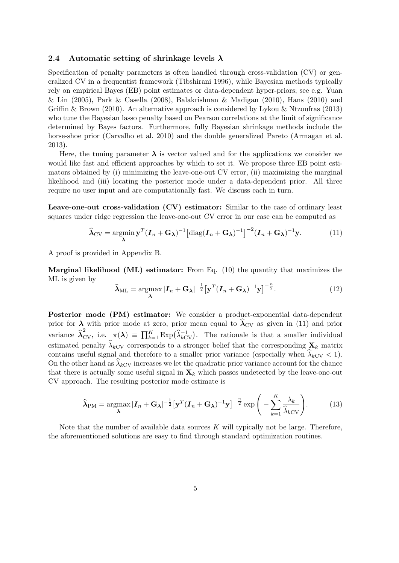#### 2.4 Automatic setting of shrinkage levels  $\lambda$

Specification of penalty parameters is often handled through cross-validation (CV) or generalized CV in a frequentist framework (Tibshirani 1996), while Bayesian methods typically rely on empirical Bayes (EB) point estimates or data-dependent hyper-priors; see e.g. Yuan & Lin (2005), Park & Casella (2008), Balakrishnan & Madigan (2010), Hans (2010) and Griffin & Brown (2010). An alternative approach is considered by Lykou & Ntzoufras (2013) who tune the Bayesian lasso penalty based on Pearson correlations at the limit of significance determined by Bayes factors. Furthermore, fully Bayesian shrinkage methods include the horse-shoe prior (Carvalho et al. 2010) and the double generalized Pareto (Armagan et al. 2013).

Here, the tuning parameter  $\lambda$  is vector valued and for the applications we consider we would like fast and efficient approaches by which to set it. We propose three EB point estimators obtained by (i) minimizing the leave-one-out CV error, (ii) maximizing the marginal likelihood and (iii) locating the posterior mode under a data-dependent prior. All three require no user input and are computationally fast. We discuss each in turn.

Leave-one-out cross-validation (CV) estimator: Similar to the case of ordinary least squares under ridge regression the leave-one-out CV error in our case can be computed as

$$
\widehat{\boldsymbol{\lambda}}_{CV} = \underset{\boldsymbol{\lambda}}{\operatorname{argmin}} \mathbf{y}^T (\boldsymbol{I}_n + \mathbf{G}_{\boldsymbol{\lambda}})^{-1} \left[ \operatorname{diag}(\boldsymbol{I}_n + \mathbf{G}_{\boldsymbol{\lambda}})^{-1} \right]^{-2} (\boldsymbol{I}_n + \mathbf{G}_{\boldsymbol{\lambda}})^{-1} \mathbf{y}.
$$
 (11)

A proof is provided in Appendix B.

**Marginal likelihood (ML) estimator:** From Eq. (10) the quantity that maximizes the ML is given by

$$
\widehat{\boldsymbol{\lambda}}_{\text{ML}} = \underset{\boldsymbol{\lambda}}{\text{argmax}} |\boldsymbol{I}_n + \mathbf{G}_{\boldsymbol{\lambda}}|^{-\frac{1}{2}} \big[ \mathbf{y}^T (\boldsymbol{I}_n + \mathbf{G}_{\boldsymbol{\lambda}})^{-1} \mathbf{y} \big]^{-\frac{n}{2}}.
$$
(12)

Posterior mode (PM) estimator: We consider a product-exponential data-dependent prior for  $\lambda$  with prior mode at zero, prior mean equal to  $\lambda_{\rm CV}$  as given in (11) and prior variance  $\hat{\lambda}_{CV}^2$ , i.e.  $\pi(\lambda) \equiv \prod_{k=1}^K \text{Exp}(\hat{\lambda}_{kCV}^{-1})$ . The rationale is that a smaller individual estimated penalty  $\lambda_{kCV}$  corresponds to a stronger belief that the corresponding  $\mathbf{X}_k$  matrix contains useful signal and therefore to a smaller prior variance (especially when  $\lambda_{kCV} < 1$ ). On the other hand as  $\lambda_{kCV}$  increases we let the quadratic prior variance account for the chance that there is actually some useful signal in  $\mathbf{X}_k$  which passes undetected by the leave-one-out CV approach. The resulting posterior mode estimate is

$$
\widehat{\lambda}_{\text{PM}} = \underset{\lambda}{\text{argmax}} |\boldsymbol{I}_n + \mathbf{G}_{\lambda}|^{-\frac{1}{2}} \big[ \mathbf{y}^T (\boldsymbol{I}_n + \mathbf{G}_{\lambda})^{-1} \mathbf{y} \big]^{-\frac{n}{2}} \exp \bigg( - \sum_{k=1}^K \frac{\lambda_k}{\widehat{\lambda}_{k} c \mathbf{v}} \bigg). \tag{13}
$$

Note that the number of available data sources  $K$  will typically not be large. Therefore, the aforementioned solutions are easy to find through standard optimization routines.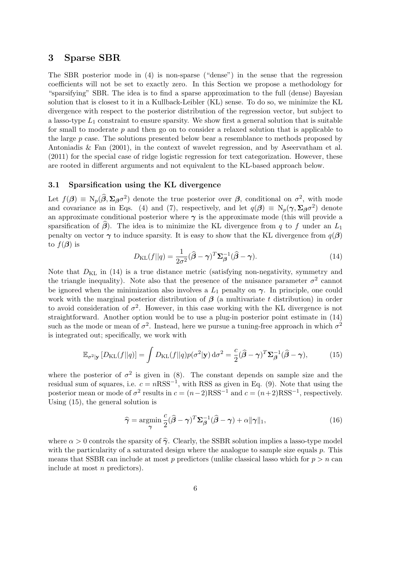### 3 Sparse SBR

The SBR posterior mode in (4) is non-sparse ("dense") in the sense that the regression coefficients will not be set to exactly zero. In this Section we propose a methodology for "sparsifying" SBR. The idea is to find a sparse approximation to the full (dense) Bayesian solution that is closest to it in a Kullback-Leibler (KL) sense. To do so, we minimize the KL divergence with respect to the posterior distribution of the regression vector, but subject to a lasso-type  $L_1$  constraint to ensure sparsity. We show first a general solution that is suitable for small to moderate  $p$  and then go on to consider a relaxed solution that is applicable to the large p case. The solutions presented below bear a resemblance to methods proposed by Antoniadis & Fan (2001), in the context of wavelet regression, and by Aseervatham et al. (2011) for the special case of ridge logistic regression for text categorization. However, these are rooted in different arguments and not equivalent to the KL-based approach below.

#### 3.1 Sparsification using the KL divergence

Let  $f(\boldsymbol{\beta}) \equiv N_p(\widehat{\boldsymbol{\beta}}, \Sigma_{\boldsymbol{\beta}} \sigma^2)$  denote the true posterior over  $\boldsymbol{\beta}$ , conditional on  $\sigma^2$ , with mode and covariance as in Eqs. (4) and (7), respectively, and let  $q(\boldsymbol{\beta}) \equiv N_p(\boldsymbol{\gamma}, \boldsymbol{\Sigma}_{\boldsymbol{\beta}} \sigma^2)$  denote an approximate conditional posterior where  $\gamma$  is the approximate mode (this will provide a sparsification of  $\beta$ ). The idea is to minimize the KL divergence from q to f under an  $L_1$ penalty on vector  $\gamma$  to induce sparsity. It is easy to show that the KL divergence from  $q(\beta)$ to  $f(\boldsymbol{\beta})$  is

$$
D_{\text{KL}}(f||q) = \frac{1}{2\sigma^2}(\widehat{\boldsymbol{\beta}} - \boldsymbol{\gamma})^T \boldsymbol{\Sigma}_{\boldsymbol{\beta}}^{-1}(\widehat{\boldsymbol{\beta}} - \boldsymbol{\gamma}).
$$
\n(14)

Note that  $D_{\text{KL}}$  in (14) is a true distance metric (satisfying non-negativity, symmetry and the triangle inequality). Note also that the presence of the nuisance parameter  $\sigma^2$  cannot be ignored when the minimization also involves a  $L_1$  penalty on  $\gamma$ . In principle, one could work with the marginal posterior distribution of  $\beta$  (a multivariate t distribution) in order to avoid consideration of  $\sigma^2$ . However, in this case working with the KL divergence is not straightforward. Another option would be to use a plug-in posterior point estimate in (14) such as the mode or mean of  $\sigma^2$ . Instead, here we pursue a tuning-free approach in which  $\sigma^2$ is integrated out; specifically, we work with

$$
\mathbb{E}_{\sigma^2|\mathbf{y}}\left[D_{\mathrm{KL}}(f||q)\right] = \int D_{\mathrm{KL}}(f||q)p(\sigma^2|\mathbf{y})\,\mathrm{d}\sigma^2 = \frac{c}{2}(\widehat{\boldsymbol{\beta}} - \boldsymbol{\gamma})^T \boldsymbol{\Sigma}_{\boldsymbol{\beta}}^{-1}(\widehat{\boldsymbol{\beta}} - \boldsymbol{\gamma}),\tag{15}
$$

where the posterior of  $\sigma^2$  is given in (8). The constant depends on sample size and the residual sum of squares, i.e.  $c = nRSS^{-1}$ , with RSS as given in Eq. (9). Note that using the posterior mean or mode of  $\sigma^2$  results in  $c = (n-2)RSS^{-1}$  and  $c = (n+2)RSS^{-1}$ , respectively. Using (15), the general solution is

$$
\widehat{\gamma} = \underset{\gamma}{\text{argmin}} \frac{c}{2} (\widehat{\beta} - \gamma)^T \Sigma_{\beta}^{-1} (\widehat{\beta} - \gamma) + \alpha ||\gamma||_1, \tag{16}
$$

where  $\alpha > 0$  controls the sparsity of  $\hat{\gamma}$ . Clearly, the SSBR solution implies a lasso-type model with the particularity of a saturated design where the analogue to sample size equals p. This means that SSBR can include at most p predictors (unlike classical lasso which for  $p > n$  can include at most n predictors).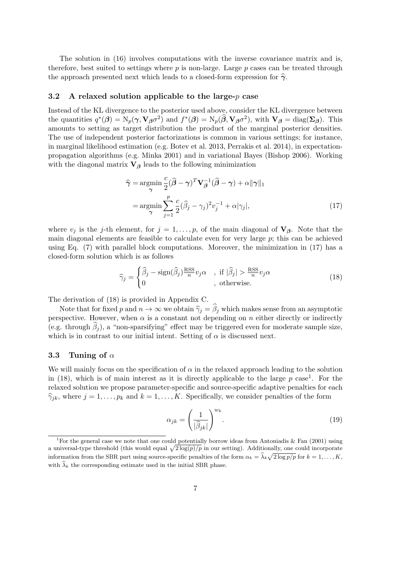The solution in (16) involves computations with the inverse covariance matrix and is, therefore, best suited to settings where  $p$  is non-large. Large  $p$  cases can be treated through the approach presented next which leads to a closed-form expression for  $\hat{\gamma}$ .

### 3.2 A relaxed solution applicable to the large- $p$  case

Instead of the KL divergence to the posterior used above, consider the KL divergence between the quantities  $q^*(\boldsymbol{\beta}) = \mathrm{N}_p(\boldsymbol{\gamma}, \mathbf{V}_{\boldsymbol{\beta}} \sigma^2)$  and  $f^*(\boldsymbol{\beta}) = \mathrm{N}_p(\widehat{\boldsymbol{\beta}}, \mathbf{V}_{\boldsymbol{\beta}} \sigma^2)$ , with  $\mathbf{V}_{\boldsymbol{\beta}} = \text{diag}(\boldsymbol{\Sigma}_{\boldsymbol{\beta}})$ . This amounts to setting as target distribution the product of the marginal posterior densities. The use of independent posterior factorizations is common in various settings; for instance, in marginal likelihood estimation (e.g. Botev et al. 2013, Perrakis et al. 2014), in expectationpropagation algorithms (e.g. Minka 2001) and in variational Bayes (Bishop 2006). Working with the diagonal matrix  $V_\beta$  leads to the following minimization

$$
\widehat{\gamma} = \underset{\gamma}{\operatorname{argmin}} \frac{c}{2} (\widehat{\boldsymbol{\beta}} - \gamma)^T \mathbf{V}_{\widehat{\boldsymbol{\beta}}}^{-1} (\widehat{\boldsymbol{\beta}} - \gamma) + \alpha ||\gamma||_1
$$

$$
= \underset{\gamma}{\operatorname{argmin}} \sum_{j=1}^p \frac{c}{2} (\widehat{\beta}_j - \gamma_j)^2 v_j^{-1} + \alpha |\gamma_j|, \tag{17}
$$

where  $v_j$  is the j-th element, for  $j = 1, \ldots, p$ , of the main diagonal of  $V_\beta$ . Note that the main diagonal elements are feasible to calculate even for very large  $p$ ; this can be achieved using Eq. (7) with parallel block computations. Moreover, the minimization in (17) has a closed-form solution which is as follows

$$
\widehat{\gamma}_j = \begin{cases} \widehat{\beta}_j - \text{sign}(\widehat{\beta}_j) \frac{\text{RSS}}{n} v_j \alpha & , \text{ if } |\widehat{\beta}_j| > \frac{\text{RSS}}{n} v_j \alpha \\ 0 & , \text{ otherwise.} \end{cases}
$$
(18)

The derivation of (18) is provided in Appendix C.

Note that for fixed p and  $n \to \infty$  we obtain  $\hat{\gamma}_i = \hat{\beta}_i$  which makes sense from an asymptotic perspective. However, when  $\alpha$  is a constant not depending on n either directly or indirectly (e.g. through  $\beta_i$ ), a "non-sparsifying" effect may be triggered even for moderate sample size, which is in contrast to our initial intent. Setting of  $\alpha$  is discussed next.

### 3.3 Tuning of  $\alpha$

We will mainly focus on the specification of  $\alpha$  in the relaxed approach leading to the solution in (18), which is of main interest as it is directly applicable to the large  $p$  case<sup>1</sup>. For the relaxed solution we propose parameter-specific and source-specific adaptive penalties for each  $\hat{\gamma}_{jk}$ , where  $j = 1, \ldots, p_k$  and  $k = 1, \ldots, K$ . Specifically, we consider penalties of the form

$$
\alpha_{jk} = \left(\frac{1}{|\widehat{\beta}_{jk}|}\right)^{w_k}.\tag{19}
$$

<sup>&</sup>lt;sup>1</sup>For the general case we note that one could potentially borrow ideas from Antoniadis  $\&$  Fan (2001) using a universal-type threshold (this would equal  $\sqrt{2 \log(p)/p}$  in our setting). Additionally, one could incorporate information from the SBR part using source-specific penalties of the form  $\alpha_k = \hat{\lambda}_k \sqrt{2 \log p / p}$  for  $k = 1, \ldots, K$ , with  $\widehat{\lambda}_k$  the corresponding estimate used in the initial SBR phase.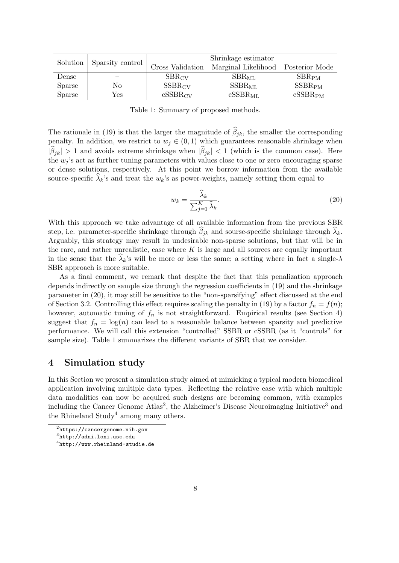| Solution      | Sparsity control | Shrinkage estimator |                                    |                     |  |  |
|---------------|------------------|---------------------|------------------------------------|---------------------|--|--|
|               |                  | Cross Validation    | Marginal Likelihood Posterior Mode |                     |  |  |
| Dense         |                  | $SBR_{CV}$          | $SBR_{ML}$                         | SBR <sub>PM</sub>   |  |  |
| <b>Sparse</b> | No               | $SSBR_{CV}$         | $SSBR_{ML}$                        | SSBR <sub>PM</sub>  |  |  |
| <b>Sparse</b> | Yes              | $cSSBR_{CV}$        | $cSSBR_{ML}$                       | cSSBR <sub>PM</sub> |  |  |

Table 1: Summary of proposed methods.

The rationale in (19) is that the larger the magnitude of  $\beta_{jk}$ , the smaller the corresponding penalty. In addition, we restrict to  $w_j \in (0,1)$  which guarantees reasonable shrinkage when  $|\beta_{jk}| > 1$  and avoids extreme shrinkage when  $|\beta_{jk}| < 1$  (which is the common case). Here the  $w_i$ 's act as further tuning parameters with values close to one or zero encouraging sparse or dense solutions, respectively. At this point we borrow information from the available source-specific  $\lambda_k$ 's and treat the  $w_k$ 's as power-weights, namely setting them equal to

$$
w_k = \frac{\widehat{\lambda}_k}{\sum_{j=1}^K \widehat{\lambda}_k}.\tag{20}
$$

With this approach we take advantage of all available information from the previous SBR step, i.e. parameter-specific shrinkage through  $\beta_{jk}$  and sourse-specific shrinkage through  $\lambda_k$ . Arguably, this strategy may result in undesirable non-sparse solutions, but that will be in the rare, and rather unrealistic, case where  $K$  is large and all sources are equally important in the sense that the  $\lambda_k$ 's will be more or less the same; a setting where in fact a single- $\lambda$ SBR approach is more suitable.

As a final comment, we remark that despite the fact that this penalization approach depends indirectly on sample size through the regression coefficients in (19) and the shrinkage parameter in (20), it may still be sensitive to the "non-sparsifying" effect discussed at the end of Section 3.2. Controlling this effect requires scaling the penalty in (19) by a factor  $f_n = f(n)$ ; however, automatic tuning of  $f_n$  is not straightforward. Empirical results (see Section 4) suggest that  $f_n = \log(n)$  can lead to a reasonable balance between sparsity and predictive performance. We will call this extension "controlled" SSBR or cSSBR (as it "controls" for sample size). Table 1 summarizes the different variants of SBR that we consider.

# 4 Simulation study

In this Section we present a simulation study aimed at mimicking a typical modern biomedical application involving multiple data types. Reflecting the relative ease with which multiple data modalities can now be acquired such designs are becoming common, with examples including the Cancer Genome Atlas<sup>2</sup>, the Alzheimer's Disease Neuroimaging Initiative<sup>3</sup> and the Rhineland  $Study<sup>4</sup>$  among many others.

 $^{2}$ https://cancergenome.nih.gov

 $^3$ http://adni.loni.usc.edu

 $^4$ http://www.rheinland-studie.de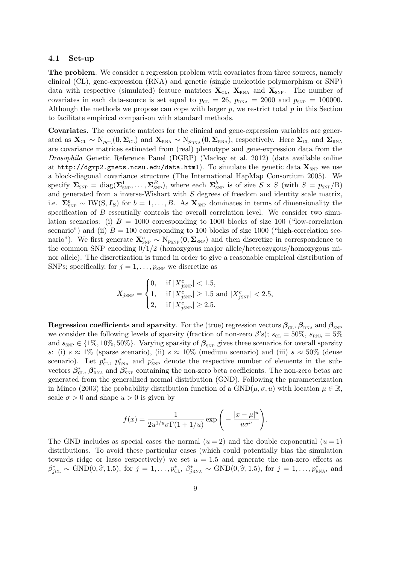#### 4.1 Set-up

The problem. We consider a regression problem with covariates from three sources, namely clinical (CL), gene-expression (RNA) and genetic (single nucleotide polymorphism or SNP) data with respective (simulated) feature matrices  $\mathbf{X}_{\text{CL}}$ ,  $\mathbf{X}_{\text{RNA}}$  and  $\mathbf{X}_{\text{SNP}}$ . The number of covariates in each data-source is set equal to  $p_{CL} = 26$ ,  $p_{RNA} = 2000$  and  $p_{SNP} = 100000$ . Although the methods we propose can cope with larger  $p$ , we restrict total  $p$  in this Section to facilitate empirical comparison with standard methods.

Covariates. The covariate matrices for the clinical and gene-expression variables are generated as  $\mathbf{X}_{\text{CL}} \sim N_{p_{\text{CL}}}(\mathbf{0}, \mathbf{\Sigma}_{\text{CL}})$  and  $\mathbf{X}_{\text{RNA}} \sim N_{p_{\text{RNA}}}(\mathbf{0}, \mathbf{\Sigma}_{\text{RNA}})$ , respectively. Here  $\mathbf{\Sigma}_{\text{CL}}$  and  $\mathbf{\Sigma}_{\text{RNA}}$ are covariance matrices estimated from (real) phenotype and gene-expression data from the Drosophila Genetic Reference Panel (DGRP) (Mackay et al. 2012) (data available online at http://dgrp2.gnets.ncsu.edu/data.html). To simulate the genetic data  $\mathbf{X}_{SNP}$  we use a block-diagonal covariance structure (The International HapMap Consortium 2005). We specify  $\Sigma_{\text{SNP}} = \text{diag}(\Sigma_{\text{SNP}}^1, \dots, \Sigma_{\text{SNP}}^B)$ , where each  $\Sigma_{\text{SNP}}^b$  is of size  $S \times S$  (with  $S = p_{\text{SNP}}/B$ ) and generated from a inverse-Wishart with  $S$  degrees of freedom and identity scale matrix, i.e.  $\Sigma_{\text{SNP}}^b \sim \text{IW}(S, I_S)$  for  $b = 1, \ldots, B$ . As  $\mathbf{X}_{\text{SNP}}$  dominates in terms of dimensionality the specification of  $B$  essentially controls the overall correlation level. We consider two simulation scenarios: (i)  $B = 1000$  corresponding to 1000 blocks of size 100 ("low-correlation scenario") and (ii)  $B = 100$  corresponding to 100 blocks of size 1000 ("high-correlation scenario"). We first generate  $\mathbf{X}_{SNP}^c \sim N_{p_{SNP}}(\mathbf{0}, \mathbf{\Sigma}_{SNP})$  and then discretize in correspondence to the common SNP encoding  $0/1/2$  (homozygous major allele/heterozygous/homozygous minor allele). The discretization is tuned in order to give a reasonable empirical distribution of SNPs; specifically, for  $j = 1, \ldots, p_{SNP}$  we discretize as

$$
X_{j_{\text{SNP}}} = \begin{cases} 0, & \text{if } |X_{j_{\text{SNP}}}^c| < 1.5, \\ 1, & \text{if } |X_{j_{\text{SNP}}}^c| \ge 1.5 \text{ and } |X_{j_{\text{SNP}}}^c| < 2.5, \\ 2, & \text{if } |X_{j_{\text{SNP}}}^c| \ge 2.5. \end{cases}
$$

**Regression coefficients and sparsity**. For the (true) regression vectors  $\beta_{CL}$ ,  $\beta_{RNA}$  and  $\beta_{SNP}$ we consider the following levels of sparsity (fraction of non-zero  $\beta$ 's);  $s_{CL} = 50\%$ ,  $s_{RNA} = 5\%$ and  $s_{\text{SNP}} \in \{1\%, 10\%, 50\%\}.$  Varying sparsity of  $\beta_{\text{SNP}}$  gives three scenarios for overall sparsity s: (i)  $s \approx 1\%$  (sparse scenario), (ii)  $s \approx 10\%$  (medium scenario) and (iii)  $s \approx 50\%$  (dense scenario). Let  $p_{\text{CL}}^*$ ,  $p_{\text{RNA}}^*$  and  $p_{\text{SNP}}^*$  denote the respective number of elements in the subvectors  $\beta_{\text{CL}}^*, \beta_{\text{RNA}}^*$  and  $\beta_{\text{SNP}}^*$  containing the non-zero beta coefficients. The non-zero betas are generated from the generalized normal distribution (GND). Following the parameterization in Mineo (2003) the probability distribution function of a  $GND(\mu, \sigma, u)$  with location  $\mu \in \mathbb{R}$ , scale  $\sigma > 0$  and shape  $u > 0$  is given by

$$
f(x) = \frac{1}{2u^{1/u}\sigma\Gamma(1+1/u)} \exp\left(-\frac{|x-\mu|^u}{u\sigma^u}\right).
$$

The GND includes as special cases the normal  $(u = 2)$  and the double exponential  $(u = 1)$ distributions. To avoid these particular cases (which could potentially bias the simulation towards ridge or lasso respectively) we set  $u = 1.5$  and generate the non-zero effects as  $\beta_{jCL}^* \sim \text{GND}(0, \hat{\sigma}, 1.5)$ , for  $j = 1, \ldots, p_{CL}^*$ ,  $\beta_{jRNA}^* \sim \text{GND}(0, \hat{\sigma}, 1.5)$ , for  $j = 1, \ldots, p_{RNA}^*$ , and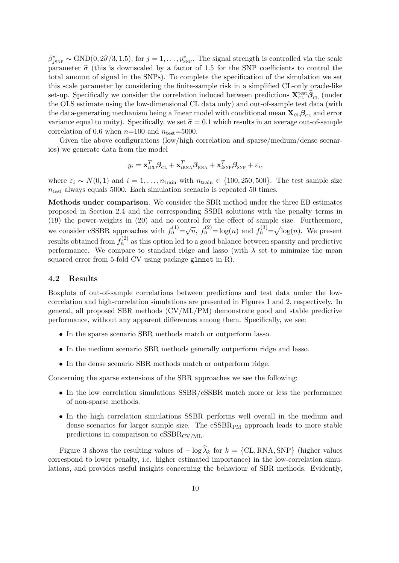$\beta_{\text{SNP}}^* \sim \text{GND}(0, 2\hat{\sigma}/3, 1.5)$ , for  $j = 1, \ldots, p_{\text{SNP}}^*$ . The signal strength is controlled via the scale parameter  $\hat{\sigma}$  (this is downscaled by a factor of 1.5 for the SNP coefficients to control the total amount of signal in the SNPs). To complete the specification of the simulation we set this scale parameter by considering the finite-sample risk in a simplified CL-only oracle-like set-up. Specifically we consider the correlation induced between predictions  $\mathbf{X}_{\text{CL}}^{\text{test}} \hat{\boldsymbol{\beta}}_{\text{CL}}$  (under the OLS estimate using the low-dimensional CL data only) and out-of-sample test data (with the data-generating mechanism being a linear model with conditional mean  $\mathbf{X}_{CL} \mathbf{\beta}_{CL}$  and error variance equal to unity). Specifically, we set  $\hat{\sigma} = 0.1$  which results in an average out-of-sample correlation of 0.6 when  $n=100$  and  $n_{\text{test}}=5000$ .

Given the above configurations (low/high correlation and sparse/medium/dense scenarios) we generate data from the model

$$
y_i = \mathbf{x}_{i\text{CL}}^T \boldsymbol{\beta}_{\text{CL}} + \mathbf{x}_{i\text{RNA}}^T \boldsymbol{\beta}_{\text{RNA}} + \mathbf{x}_{i\text{SNP}}^T \boldsymbol{\beta}_{\text{SNP}} + \varepsilon_i,
$$

where  $\varepsilon_i \sim N(0, 1)$  and  $i = 1, \ldots, n_{\text{train}}$  with  $n_{\text{train}} \in \{100, 250, 500\}$ . The test sample size  $n_{\text{test}}$  always equals 5000. Each simulation scenario is repeated 50 times.

Methods under comparison. We consider the SBR method under the three EB estimates proposed in Section 2.4 and the corresponding SSBR solutions with the penalty terms in (19) the power-weights in (20) and no control for the effect of sample size. Furthermore, we consider cSSBR approaches with  $f_n^{(1)} = \sqrt{n}$ ,  $f_n^{(2)} = \log(n)$  and  $f_n^{(3)} = \sqrt{\log(n)}$ . We present results obtained from  $f_n^{(2)}$  as this option led to a good balance between sparsity and predictive performance. We compare to standard ridge and lasso (with  $\lambda$  set to minimize the mean squared error from 5-fold CV using package glmnet in R).

### 4.2 Results

Boxplots of out-of-sample correlations between predictions and test data under the lowcorrelation and high-correlation simulations are presented in Figures 1 and 2, respectively. In general, all proposed SBR methods (CV/ML/PM) demonstrate good and stable predictive performance, without any apparent differences among them. Specifically, we see:

- In the sparse scenario SBR methods match or outperform lasso.
- In the medium scenario SBR methods generally outperform ridge and lasso.
- In the dense scenario SBR methods match or outperform ridge.

Concerning the sparse extensions of the SBR approaches we see the following:

- In the low correlation simulations SSBR/cSSBR match more or less the performance of non-sparse methods.
- In the high correlation simulations SSBR performs well overall in the medium and dense scenarios for larger sample size. The  $cSSBR<sub>PM</sub>$  approach leads to more stable predictions in comparison to  $\text{cSSBR}_{\text{CV}/\text{ML}}$ .

Figure 3 shows the resulting values of  $-\log \lambda_k$  for  $k = \{CL, RNA, SNP\}$  (higher values correspond to lower penalty, i.e. higher estimated importance) in the low-correlation simulations, and provides useful insights concerning the behaviour of SBR methods. Evidently,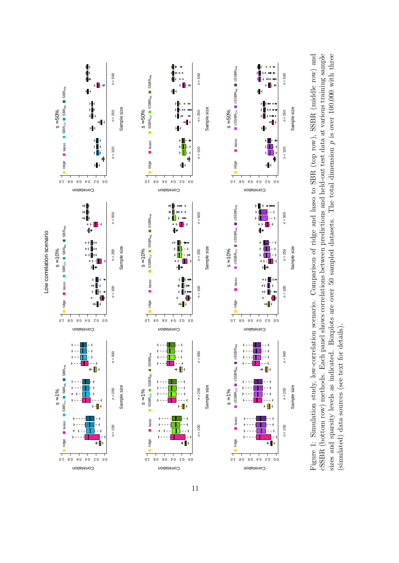

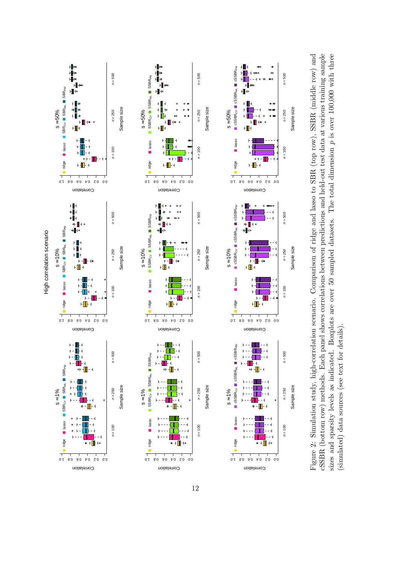

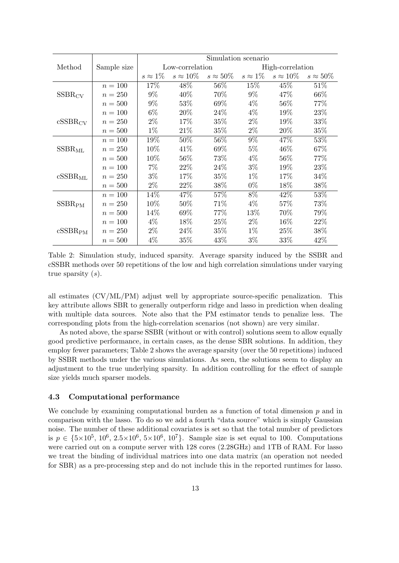|                     |             | Simulation scenario |                  |                 |                  |                 |                 |  |
|---------------------|-------------|---------------------|------------------|-----------------|------------------|-----------------|-----------------|--|
| Method              | Sample size | Low-correlation     |                  |                 | High-correlation |                 |                 |  |
|                     |             | $s \approx 1\%$     | $s \approx 10\%$ | $s\approx 50\%$ | $s\approx 1\%$   | $s\approx 10\%$ | $s\approx 50\%$ |  |
| $SSBR_{CV}$         | $n = 100$   | 17%                 | 48%              | 56%             | 15%              | 45\%            | $51\%$          |  |
|                     | $n = 250$   | $9\%$               | 40%              | 70%             | $9\%$            | 47\%            | 66\%            |  |
|                     | $n=500$     | $9\%$               | 53%              | 69%             | $4\%$            | $56\%$          | 77%             |  |
| $cSSBR_{CV}$        | $n = 100$   | $6\%$               | 20%              | $24\%$          | $4\%$            | $19\%$          | 23\%            |  |
|                     | $n = 250$   | $2\%$               | 17%              | $35\%$          | $2\%$            | 19%             | 33%             |  |
|                     | $n=500$     | $1\%$               | 21\%             | $35\%$          | $2\%$            | $20\%$          | $35\%$          |  |
| $SSBR_{ML}$         | $n = 100$   | 19%                 | 50%              | 56\%            | $9\%$            | 47\%            | 53%             |  |
|                     | $n = 250$   | 10%                 | 41\%             | 69%             | $5\%$            | 46\%            | 67%             |  |
|                     | $n=500$     | 10\%                | 56\%             | 73\%            | $4\%$            | $56\%$          | 77%             |  |
| $cSSBR_{ML}$        | $n = 100$   | $7\%$               | 22\%             | 24\%            | $3\%$            | $19\%$          | 23\%            |  |
|                     | $n = 250$   | $3\%$               | 17%              | 35%             | $1\%$            | 17%             | 34%             |  |
|                     | $n=500$     | $2\%$               | 22\%             | 38\%            | $0\%$            | 18\%            | 38%             |  |
| $SSBR_{\rm PM}$     | $n = 100$   | 14\%                | 47%              | 57%             | 8%               | 42\%            | 53\%            |  |
|                     | $n = 250$   | 10%                 | 50%              | 71\%            | $4\%$            | 57\%            | 73%             |  |
|                     | $n=500$     | 14\%                | 69%              | 77\%            | 13%              | 70\%            | 79%             |  |
| cSSBR <sub>PM</sub> | $n = 100$   | $4\%$               | 18\%             | 25\%            | $2\%$            | $16\%$          | 22%             |  |
|                     | $n = 250$   | $2\%$               | 24\%             | $35\%$          | $1\%$            | 25\%            | 38\%            |  |
|                     | $n=500$     | $4\%$               | 35\%             | 43\%            | $3\%$            | 33\%            | 42\%            |  |

Table 2: Simulation study, induced sparsity. Average sparsity induced by the SSBR and cSSBR methods over 50 repetitions of the low and high correlation simulations under varying true sparsity  $(s)$ .

all estimates (CV/ML/PM) adjust well by appropriate source-specific penalization. This key attribute allows SBR to generally outperform ridge and lasso in prediction when dealing with multiple data sources. Note also that the PM estimator tends to penalize less. The corresponding plots from the high-correlation scenarios (not shown) are very similar.

As noted above, the sparse SSBR (without or with control) solutions seem to allow equally good predictive performance, in certain cases, as the dense SBR solutions. In addition, they employ fewer parameters; Table 2 shows the average sparsity (over the 50 repetitions) induced by SSBR methods under the various simulations. As seen, the solutions seem to display an adjustment to the true underlying sparsity. In addition controlling for the effect of sample size yields much sparser models.

### 4.3 Computational performance

We conclude by examining computational burden as a function of total dimension  $p$  and in comparison with the lasso. To do so we add a fourth "data source" which is simply Gaussian noise. The number of these additional covariates is set so that the total number of predictors is  $p \in \{5 \times 10^5, 10^6, 2.5 \times 10^6, 5 \times 10^6, 10^7\}$ . Sample size is set equal to 100. Computations were carried out on a compute server with 128 cores (2.28GHz) and 1TB of RAM. For lasso we treat the binding of individual matrices into one data matrix (an operation not needed for SBR) as a pre-processing step and do not include this in the reported runtimes for lasso.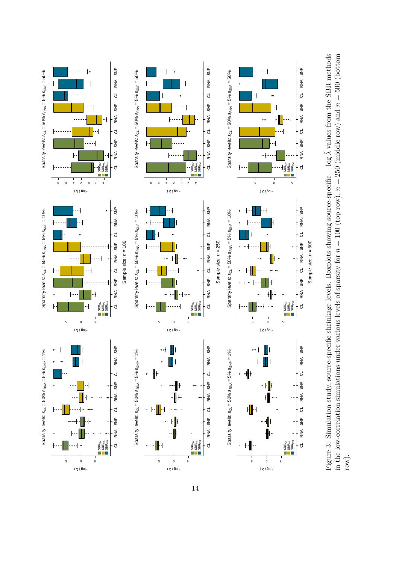



 $(\gamma)$  βo<sub>l</sub>-

 $(\gamma)$   $60$ 

 $(\gamma)$  βo<sub>l</sub>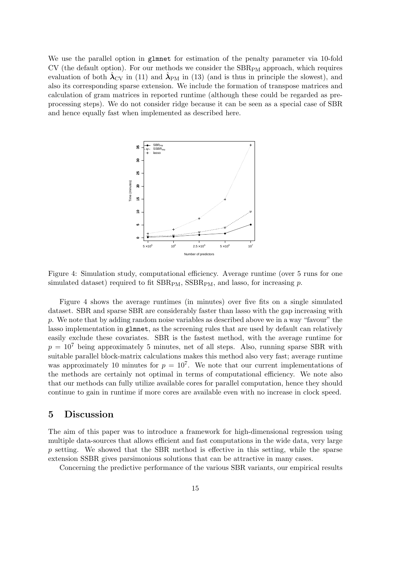We use the parallel option in glmnet for estimation of the penalty parameter via 10-fold  $CV$  (the default option). For our methods we consider the  $SBR<sub>PM</sub>$  approach, which requires evaluation of both  $\hat{\lambda}_{\rm CV}$  in (11) and  $\hat{\lambda}_{\rm PM}$  in (13) (and is thus in principle the slowest), and also its corresponding sparse extension. We include the formation of transpose matrices and calculation of gram matrices in reported runtime (although these could be regarded as preprocessing steps). We do not consider ridge because it can be seen as a special case of SBR and hence equally fast when implemented as described here.



Figure 4: Simulation study, computational efficiency. Average runtime (over 5 runs for one simulated dataset) required to fit  $SBR_{PM}$ ,  $SSBR_{PM}$ , and lasso, for increasing p.

Figure 4 shows the average runtimes (in minutes) over five fits on a single simulated dataset. SBR and sparse SBR are considerably faster than lasso with the gap increasing with p. We note that by adding random noise variables as described above we in a way "favour" the lasso implementation in glmnet, as the screening rules that are used by default can relatively easily exclude these covariates. SBR is the fastest method, with the average runtime for  $p = 10<sup>7</sup>$  being approximately 5 minutes, net of all steps. Also, running sparse SBR with suitable parallel block-matrix calculations makes this method also very fast; average runtime was approximately 10 minutes for  $p = 10^7$ . We note that our current implementations of the methods are certainly not optimal in terms of computational efficiency. We note also that our methods can fully utilize available cores for parallel computation, hence they should continue to gain in runtime if more cores are available even with no increase in clock speed.

# 5 Discussion

The aim of this paper was to introduce a framework for high-dimensional regression using multiple data-sources that allows efficient and fast computations in the wide data, very large  $p$  setting. We showed that the SBR method is effective in this setting, while the sparse extension SSBR gives parsimonious solutions that can be attractive in many cases.

Concerning the predictive performance of the various SBR variants, our empirical results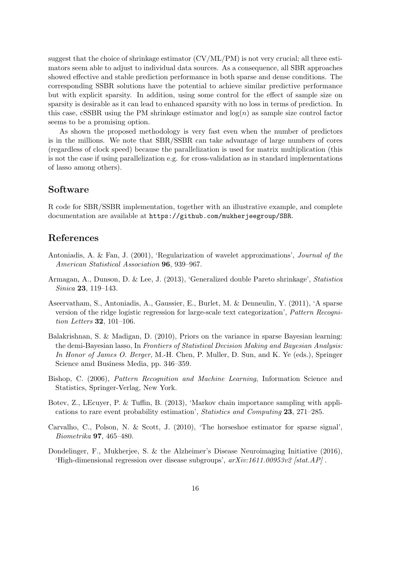suggest that the choice of shrinkage estimator (CV/ML/PM) is not very crucial; all three estimators seem able to adjust to individual data sources. As a consequence, all SBR approaches showed effective and stable prediction performance in both sparse and dense conditions. The corresponding SSBR solutions have the potential to achieve similar predictive performance but with explicit sparsity. In addition, using some control for the effect of sample size on sparsity is desirable as it can lead to enhanced sparsity with no loss in terms of prediction. In this case, cSSBR using the PM shrinkage estimator and  $log(n)$  as sample size control factor seems to be a promising option.

As shown the proposed methodology is very fast even when the number of predictors is in the millions. We note that SBR/SSBR can take advantage of large numbers of cores (regardless of clock speed) because the parallelization is used for matrix multiplication (this is not the case if using parallelization e.g. for cross-validation as in standard implementations of lasso among others).

### Software

R code for SBR/SSBR implementation, together with an illustrative example, and complete documentation are available at https://github.com/mukherjeegroup/SBR.

# References

- Antoniadis, A. & Fan, J. (2001), 'Regularization of wavelet approximations', Journal of the American Statistical Association 96, 939–967.
- Armagan, A., Dunson, D. & Lee, J. (2013), 'Generalized double Pareto shrinkage', Statistica Sinica 23, 119–143.
- Aseervatham, S., Antoniadis, A., Gaussier, E., Burlet, M. & Denneulin, Y. (2011), 'A sparse version of the ridge logistic regression for large-scale text categorization', Pattern Recognition Letters 32, 101–106.
- Balakrishnan, S. & Madigan, D. (2010), Priors on the variance in sparse Bayesian learning: the demi-Bayesian lasso, In Frontiers of Statistical Decision Making and Bayesian Analysis: In Honor of James O. Berger, M.-H. Chen, P. Muller, D. Sun, and K. Ye (eds.), Springer Science amd Business Media, pp. 346–359.
- Bishop, C. (2006), Pattern Recognition and Machine Learning, Information Science and Statistics, Springer-Verlag, New York.
- Botev, Z., LEcuyer, P. & Tuffin, B. (2013), 'Markov chain importance sampling with applications to rare event probability estimation', Statistics and Computing 23, 271–285.
- Carvalho, C., Polson, N. & Scott, J. (2010), 'The horseshoe estimator for sparse signal', Biometrika 97, 465–480.
- Dondelinger, F., Mukherjee, S. & the Alzheimer's Disease Neuroimaging Initiative (2016), 'High-dimensional regression over disease subgroups',  $arXiv:1611.00953v2$  [stat.AP].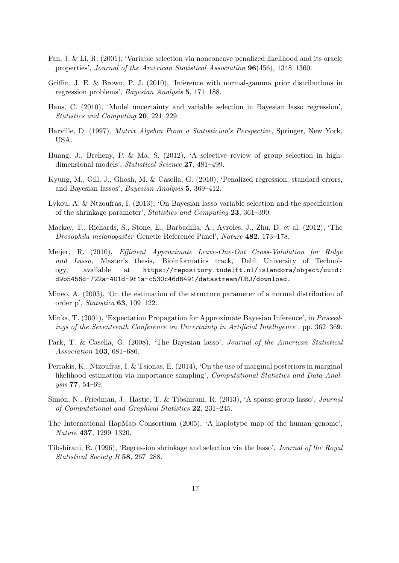- Fan, J. & Li, R. (2001), 'Variable selection via nonconcave penalized likelihood and its oracle properties', Journal of the American Statistical Association 96(456), 1348–1360.
- Griffin, J. E. & Brown, P. J. (2010), 'Inference with normal-gamma prior distributions in regression problems', Bayesian Analysis 5, 171–188.
- Hans, C. (2010), 'Model uncertainty and variable selection in Bayesian lasso regression', Statistics and Computing 20, 221–229.
- Harville, D. (1997), Matrix Algebra From a Statistician's Perspective, Springer, New York, USA.
- Huang, J., Breheny, P. & Ma, S. (2012), 'A selective review of group selection in highdimensional models', Statistical Science 27, 481-499.
- Kyung, M., Gill, J., Ghosh, M. & Casella, G. (2010), 'Penalized regression, standard errors, and Bayesian lassos', Bayesian Analysis 5, 369–412.
- Lykou, A. & Ntzoufras, I. (2013), 'On Bayesian lasso variable selection and the specification of the shrinkage parameter', Statistics and Computing 23, 361–390.
- Mackay, T., Richards, S., Stone, E., Barbadilla, A., Ayroles, J., Zhu, D. et al. (2012), 'The Drosophila melanogaster Genetic Reference Panel', Nature 482, 173–178.
- Meijer, R. (2010), Efficient Approximate Leave-One-Out Cross-Validation for Ridge and Lasso, Master's thesis, Bioinformatics track, Delft University of Technology, available at https://repository.tudelft.nl/islandora/object/uuid: d9b5456d-722a-401d-9f1a-c530c46d6491/datastream/OBJ/download.
- Mineo, A. (2003), 'On the estimation of the structure parameter of a normal distribution of order p', Statistica 63, 109–122.
- Minka, T. (2001), 'Expectation Propagation for Approximate Bayesian Inference', in Proceedings of the Seventeenth Conference on Uncertainty in Artificial Intelligence , pp. 362–369.
- Park, T. & Casella, G. (2008), 'The Bayesian lasso', Journal of the American Statistical Association 103, 681–686.
- Perrakis, K., Ntzoufras, I. & Tsionas, E. (2014), 'On the use of marginal posteriors in marginal likelihood estimation via importance sampling', Computational Statistics and Data Analysis 77, 54–69.
- Simon, N., Friedman, J., Hastie, T. & Tibshirani, R. (2013), 'A sparse-group lasso', Journal of Computational and Graphical Statistics 22, 231–245.
- The International HapMap Consortium (2005), 'A haplotype map of the human genome', Nature 437, 1299–1320.
- Tibshirani, R. (1996), 'Regression shrinkage and selection via the lasso', Journal of the Royal Statistical Society B 58, 267–288.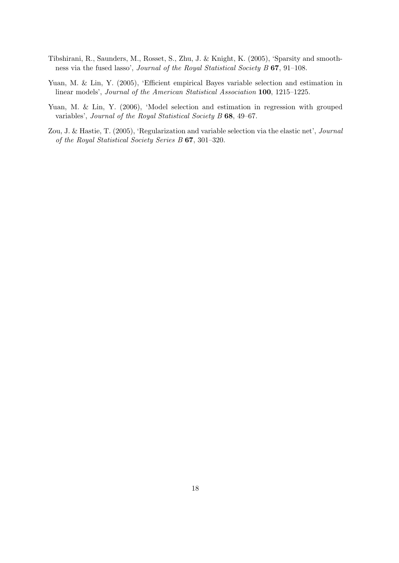- Tibshirani, R., Saunders, M., Rosset, S., Zhu, J. & Knight, K. (2005), 'Sparsity and smoothness via the fused lasso', Journal of the Royal Statistical Society B 67, 91–108.
- Yuan, M. & Lin, Y. (2005), 'Efficient empirical Bayes variable selection and estimation in linear models', Journal of the American Statistical Association 100, 1215–1225.
- Yuan, M. & Lin, Y. (2006), 'Model selection and estimation in regression with grouped variables', Journal of the Royal Statistical Society B 68, 49–67.
- Zou, J. & Hastie, T. (2005), 'Regularization and variable selection via the elastic net', Journal of the Royal Statistical Society Series B 67, 301–320.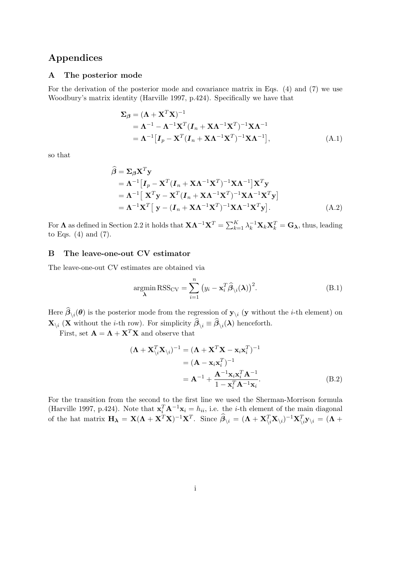# Appendices

### A The posterior mode

For the derivation of the posterior mode and covariance matrix in Eqs. (4) and (7) we use Woodbury's matrix identity (Harville 1997, p.424). Specifically we have that

$$
\Sigma_{\beta} = (\mathbf{\Lambda} + \mathbf{X}^{T} \mathbf{X})^{-1}
$$
  
=  $\mathbf{\Lambda}^{-1} - \mathbf{\Lambda}^{-1} \mathbf{X}^{T} (\mathbf{I}_{n} + \mathbf{X} \mathbf{\Lambda}^{-1} \mathbf{X}^{T})^{-1} \mathbf{X} \mathbf{\Lambda}^{-1}$   
=  $\mathbf{\Lambda}^{-1} [\mathbf{I}_{p} - \mathbf{X}^{T} (\mathbf{I}_{n} + \mathbf{X} \mathbf{\Lambda}^{-1} \mathbf{X}^{T})^{-1} \mathbf{X} \mathbf{\Lambda}^{-1}],$  (A.1)

so that

$$
\hat{\boldsymbol{\beta}} = \boldsymbol{\Sigma}_{\boldsymbol{\beta}} \mathbf{X}^T \mathbf{y} \n= \boldsymbol{\Lambda}^{-1} [\boldsymbol{I}_p - \mathbf{X}^T (\boldsymbol{I}_n + \mathbf{X} \boldsymbol{\Lambda}^{-1} \mathbf{X}^T)^{-1} \mathbf{X} \boldsymbol{\Lambda}^{-1}] \mathbf{X}^T \mathbf{y} \n= \boldsymbol{\Lambda}^{-1} [\mathbf{X}^T \mathbf{y} - \mathbf{X}^T (\boldsymbol{I}_n + \mathbf{X} \boldsymbol{\Lambda}^{-1} \mathbf{X}^T)^{-1} \mathbf{X} \boldsymbol{\Lambda}^{-1} \mathbf{X}^T \mathbf{y}] \n= \boldsymbol{\Lambda}^{-1} \mathbf{X}^T [\mathbf{y} - (\boldsymbol{I}_n + \mathbf{X} \boldsymbol{\Lambda}^{-1} \mathbf{X}^T)^{-1} \mathbf{X} \boldsymbol{\Lambda}^{-1} \mathbf{X}^T \mathbf{y}].
$$
\n(A.2)

For  $\Lambda$  as defined in Section 2.2 it holds that  $\mathbf{X}\Lambda^{-1}\mathbf{X}^T = \sum_{k=1}^K \lambda_k^{-1}\mathbf{X}_k\mathbf{X}_k^T = \mathbf{G}_{\lambda}$ , thus, leading to Eqs. (4) and (7).

### B The leave-one-out CV estimator

The leave-one-out CV estimates are obtained via

$$
\underset{\lambda}{\operatorname{argmin}} \text{RSS}_{\text{CV}} = \sum_{i=1}^{n} (y_i - \mathbf{x}_i^T \widehat{\boldsymbol{\beta}}_{\setminus i}(\lambda))^2.
$$
 (B.1)

Here  $\beta_{\setminus i}(\theta)$  is the posterior mode from the regression of  $\mathbf{y}_{\setminus i}$  (y without the *i*-th element) on  $\mathbf{X}_{\setminus i}$  (**X** without the *i*-th row). For simplicity  $\boldsymbol{\beta}_{\setminus i} \equiv \boldsymbol{\beta}_{\setminus i}(\boldsymbol{\lambda})$  henceforth.

First, set  $\mathbf{A} = \mathbf{\Lambda} + \mathbf{X}^T \mathbf{X}$  and observe that

$$
(\mathbf{\Lambda} + \mathbf{X}_{\backslash i}^T \mathbf{X}_{\backslash i})^{-1} = (\mathbf{\Lambda} + \mathbf{X}^T \mathbf{X} - \mathbf{x}_i \mathbf{x}_i^T)^{-1}
$$
  
=  $(\mathbf{A} - \mathbf{x}_i \mathbf{x}_i^T)^{-1}$   
=  $\mathbf{A}^{-1} + \frac{\mathbf{A}^{-1} \mathbf{x}_i \mathbf{x}_i^T \mathbf{A}^{-1}}{1 - \mathbf{x}_i^T \mathbf{A}^{-1} \mathbf{x}_i}.$  (B.2)

For the transition from the second to the first line we used the Sherman-Morrison formula (Harville 1997, p.424). Note that  $\mathbf{x}_i^T \mathbf{A}^{-1} \mathbf{x}_i = h_{ii}$ , i.e. the *i*-th element of the main diagonal of the hat matrix  $\mathbf{H}_{\boldsymbol{\lambda}} = \mathbf{X}(\boldsymbol{\Lambda} + \mathbf{X}^T\mathbf{X})^{-1}\mathbf{X}^T$ . Since  $\widehat{\boldsymbol{\beta}}_{\backslash i} = (\boldsymbol{\Lambda} + \mathbf{X}_{\backslash i}^T\mathbf{X}_{\backslash i})^{-1}\mathbf{X}_{\backslash i}^T\mathbf{y}_{\backslash i} = (\boldsymbol{\Lambda} + \mathbf{X}_{\backslash i}^T\mathbf{X}_{\backslash i})^{-1}\mathbf{X}_{\backslash i}^T\mathbf{y}_{\backslash i}$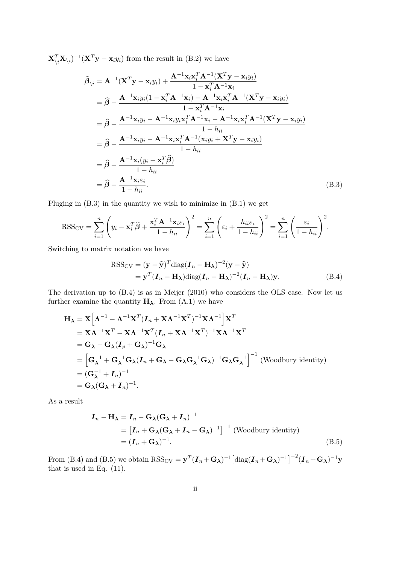$\mathbf{X}_{\backslash i}^T \mathbf{X}_{\backslash i}$ )<sup>-1</sup>( $\mathbf{X}_{\mathbf{y}}^T \mathbf{y} - \mathbf{x}_{i} y_i$ ) from the result in (B.2) we have

$$
\hat{\beta}_{\backslash i} = \mathbf{A}^{-1}(\mathbf{X}^{T}\mathbf{y} - \mathbf{x}_{i}y_{i}) + \frac{\mathbf{A}^{-1}\mathbf{x}_{i}\mathbf{x}_{i}^{T}\mathbf{A}^{-1}(\mathbf{X}^{T}\mathbf{y} - \mathbf{x}_{i}y_{i})}{1 - \mathbf{x}_{i}^{T}\mathbf{A}^{-1}\mathbf{x}_{i}} \n= \hat{\beta} - \frac{\mathbf{A}^{-1}\mathbf{x}_{i}y_{i}(1 - \mathbf{x}_{i}^{T}\mathbf{A}^{-1}\mathbf{x}_{i}) - \mathbf{A}^{-1}\mathbf{x}_{i}\mathbf{x}_{i}^{T}\mathbf{A}^{-1}(\mathbf{X}^{T}\mathbf{y} - \mathbf{x}_{i}y_{i})}{1 - \mathbf{x}_{i}^{T}\mathbf{A}^{-1}\mathbf{x}_{i}} \n= \hat{\beta} - \frac{\mathbf{A}^{-1}\mathbf{x}_{i}y_{i} - \mathbf{A}^{-1}\mathbf{x}_{i}y_{i}\mathbf{x}_{i}^{T}\mathbf{A}^{-1}\mathbf{x}_{i} - \mathbf{A}^{-1}\mathbf{x}_{i}\mathbf{x}_{i}^{T}\mathbf{A}^{-1}(\mathbf{X}^{T}\mathbf{y} - \mathbf{x}_{i}y_{i})}{1 - h_{ii}} \n= \hat{\beta} - \frac{\mathbf{A}^{-1}\mathbf{x}_{i}y_{i} - \mathbf{A}^{-1}\mathbf{x}_{i}\mathbf{x}_{i}^{T}\mathbf{A}^{-1}(\mathbf{x}_{i}y_{i} + \mathbf{X}^{T}\mathbf{y} - \mathbf{x}_{i}y_{i})}{1 - h_{ii}} \n= \hat{\beta} - \frac{\mathbf{A}^{-1}\mathbf{x}_{i}(y_{i} - \mathbf{x}_{i}^{T}\hat{\beta})}{1 - h_{ii}} \n= \hat{\beta} - \frac{\mathbf{A}^{-1}\mathbf{x}_{i}\varepsilon_{i}}{1 - h_{ii}}.
$$
\n(B.3)

Pluging in (B.3) in the quantity we wish to minimize in (B.1) we get

$$
RSS_{CV} = \sum_{i=1}^{n} \left( y_i - \mathbf{x}_i^T \hat{\boldsymbol{\beta}} + \frac{\mathbf{x}_i^T \mathbf{A}^{-1} \mathbf{x}_i \varepsilon_i}{1 - h_{ii}} \right)^2 = \sum_{i=1}^{n} \left( \varepsilon_i + \frac{h_{ii} \varepsilon_i}{1 - h_{ii}} \right)^2 = \sum_{i=1}^{n} \left( \frac{\varepsilon_i}{1 - h_{ii}} \right)^2.
$$

Switching to matrix notation we have

$$
RSS_{CV} = (\mathbf{y} - \widehat{\mathbf{y}})^T diag(\mathbf{I}_n - \mathbf{H}_{\lambda})^{-2} (\mathbf{y} - \widehat{\mathbf{y}})
$$
  
=  $\mathbf{y}^T (\mathbf{I}_n - \mathbf{H}_{\lambda}) diag(\mathbf{I}_n - \mathbf{H}_{\lambda})^{-2} (\mathbf{I}_n - \mathbf{H}_{\lambda}) \mathbf{y}.$  (B.4)

The derivation up to (B.4) is as in Meijer (2010) who considers the OLS case. Now let us further examine the quantity  $H_{\lambda}$ . From (A.1) we have

$$
\mathbf{H}_{\lambda} = \mathbf{X} \Big[ \mathbf{\Lambda}^{-1} - \mathbf{\Lambda}^{-1} \mathbf{X}^{T} (\mathbf{I}_{n} + \mathbf{X} \mathbf{\Lambda}^{-1} \mathbf{X}^{T})^{-1} \mathbf{X} \mathbf{\Lambda}^{-1} \Big] \mathbf{X}^{T}
$$
\n
$$
= \mathbf{X} \mathbf{\Lambda}^{-1} \mathbf{X}^{T} - \mathbf{X} \mathbf{\Lambda}^{-1} \mathbf{X}^{T} (\mathbf{I}_{n} + \mathbf{X} \mathbf{\Lambda}^{-1} \mathbf{X}^{T})^{-1} \mathbf{X} \mathbf{\Lambda}^{-1} \mathbf{X}^{T}
$$
\n
$$
= \mathbf{G}_{\lambda} - \mathbf{G}_{\lambda} (\mathbf{I}_{p} + \mathbf{G}_{\lambda})^{-1} \mathbf{G}_{\lambda}
$$
\n
$$
= \Big[ \mathbf{G}_{\lambda}^{-1} + \mathbf{G}_{\lambda}^{-1} \mathbf{G}_{\lambda} (\mathbf{I}_{n} + \mathbf{G}_{\lambda} - \mathbf{G}_{\lambda} \mathbf{G}_{\lambda}^{-1} \mathbf{G}_{\lambda})^{-1} \mathbf{G}_{\lambda} \mathbf{G}_{\lambda}^{-1} \Big]^{-1} \text{ (Woodbury identity)}
$$
\n
$$
= (\mathbf{G}_{\lambda}^{-1} + \mathbf{I}_{n})^{-1}
$$
\n
$$
= \mathbf{G}_{\lambda} (\mathbf{G}_{\lambda} + \mathbf{I}_{n})^{-1}.
$$

As a result

$$
\mathbf{I}_n - \mathbf{H}_{\lambda} = \mathbf{I}_n - \mathbf{G}_{\lambda} (\mathbf{G}_{\lambda} + \mathbf{I}_n)^{-1}
$$
  
=  $[\mathbf{I}_n + \mathbf{G}_{\lambda} (\mathbf{G}_{\lambda} + \mathbf{I}_n - \mathbf{G}_{\lambda})^{-1}]^{-1}$  (Woodbury identity)  
=  $(\mathbf{I}_n + \mathbf{G}_{\lambda})^{-1}$ . (B.5)

From (B.4) and (B.5) we obtain  $RSS_{CV} = \mathbf{y}^T (\boldsymbol{I}_n + \mathbf{G}_{\boldsymbol{\lambda}})^{-1} [\text{diag}(\boldsymbol{I}_n + \mathbf{G}_{\boldsymbol{\lambda}})^{-1}]^{-2} (\boldsymbol{I}_n + \mathbf{G}_{\boldsymbol{\lambda}})^{-1} \mathbf{y}$ that is used in Eq. (11).